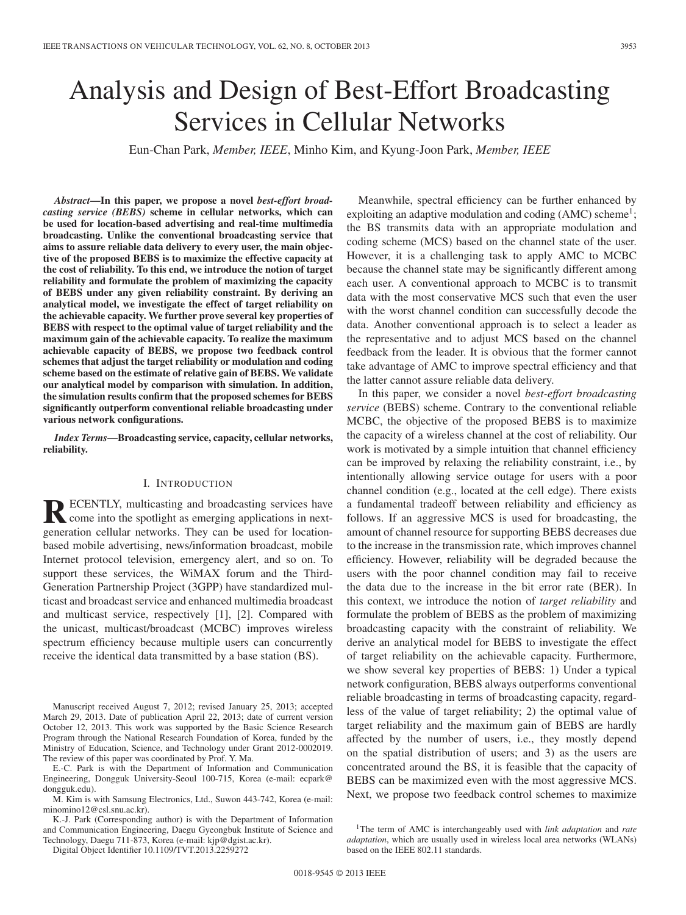# Analysis and Design of Best-Effort Broadcasting Services in Cellular Networks

Eun-Chan Park, *Member, IEEE*, Minho Kim, and Kyung-Joon Park, *Member, IEEE*

*Abstract***—In this paper, we propose a novel** *best-effort broadcasting service (BEBS)* **scheme in cellular networks, which can be used for location-based advertising and real-time multimedia broadcasting. Unlike the conventional broadcasting service that aims to assure reliable data delivery to every user, the main objective of the proposed BEBS is to maximize the effective capacity at the cost of reliability. To this end, we introduce the notion of target reliability and formulate the problem of maximizing the capacity of BEBS under any given reliability constraint. By deriving an analytical model, we investigate the effect of target reliability on the achievable capacity. We further prove several key properties of BEBS with respect to the optimal value of target reliability and the maximum gain of the achievable capacity. To realize the maximum achievable capacity of BEBS, we propose two feedback control schemes that adjust the target reliability or modulation and coding scheme based on the estimate of relative gain of BEBS. We validate our analytical model by comparison with simulation. In addition, the simulation results confirm that the proposed schemes for BEBS significantly outperform conventional reliable broadcasting under various network configurations.**

*Index Terms***—Broadcasting service, capacity, cellular networks, reliability.**

# I. INTRODUCTION

**RECENTLY, multicasting and broadcasting services have**<br>come into the spotlight as emerging applications in next-<br>come into the spotlight as  $\frac{1}{2}$ generation cellular networks. They can be used for locationbased mobile advertising, news/information broadcast, mobile Internet protocol television, emergency alert, and so on. To support these services, the WiMAX forum and the Third-Generation Partnership Project (3GPP) have standardized multicast and broadcast service and enhanced multimedia broadcast and multicast service, respectively [1], [2]. Compared with the unicast, multicast/broadcast (MCBC) improves wireless spectrum efficiency because multiple users can concurrently receive the identical data transmitted by a base station (BS).

Manuscript received August 7, 2012; revised January 25, 2013; accepted March 29, 2013. Date of publication April 22, 2013; date of current version October 12, 2013. This work was supported by the Basic Science Research Program through the National Research Foundation of Korea, funded by the Ministry of Education, Science, and Technology under Grant 2012-0002019. The review of this paper was coordinated by Prof. Y. Ma.

E.-C. Park is with the Department of Information and Communication Engineering, Dongguk University-Seoul 100-715, Korea (e-mail: ecpark@ dongguk.edu).

M. Kim is with Samsung Electronics, Ltd., Suwon 443-742, Korea (e-mail: minomino12@csl.snu.ac.kr).

K.-J. Park (Corresponding author) is with the Department of Information and Communication Engineering, Daegu Gyeongbuk Institute of Science and Technology, Daegu 711-873, Korea (e-mail: kjp@dgist.ac.kr).

Digital Object Identifier 10.1109/TVT.2013.2259272

Meanwhile, spectral efficiency can be further enhanced by exploiting an adaptive modulation and coding  $(AMC)$  scheme<sup>1</sup>; the BS transmits data with an appropriate modulation and coding scheme (MCS) based on the channel state of the user. However, it is a challenging task to apply AMC to MCBC because the channel state may be significantly different among each user. A conventional approach to MCBC is to transmit data with the most conservative MCS such that even the user with the worst channel condition can successfully decode the data. Another conventional approach is to select a leader as the representative and to adjust MCS based on the channel feedback from the leader. It is obvious that the former cannot take advantage of AMC to improve spectral efficiency and that the latter cannot assure reliable data delivery.

In this paper, we consider a novel *best-effort broadcasting service* (BEBS) scheme. Contrary to the conventional reliable MCBC, the objective of the proposed BEBS is to maximize the capacity of a wireless channel at the cost of reliability. Our work is motivated by a simple intuition that channel efficiency can be improved by relaxing the reliability constraint, i.e., by intentionally allowing service outage for users with a poor channel condition (e.g., located at the cell edge). There exists a fundamental tradeoff between reliability and efficiency as follows. If an aggressive MCS is used for broadcasting, the amount of channel resource for supporting BEBS decreases due to the increase in the transmission rate, which improves channel efficiency. However, reliability will be degraded because the users with the poor channel condition may fail to receive the data due to the increase in the bit error rate (BER). In this context, we introduce the notion of *target reliability* and formulate the problem of BEBS as the problem of maximizing broadcasting capacity with the constraint of reliability. We derive an analytical model for BEBS to investigate the effect of target reliability on the achievable capacity. Furthermore, we show several key properties of BEBS: 1) Under a typical network configuration, BEBS always outperforms conventional reliable broadcasting in terms of broadcasting capacity, regardless of the value of target reliability; 2) the optimal value of target reliability and the maximum gain of BEBS are hardly affected by the number of users, i.e., they mostly depend on the spatial distribution of users; and 3) as the users are concentrated around the BS, it is feasible that the capacity of BEBS can be maximized even with the most aggressive MCS. Next, we propose two feedback control schemes to maximize

<sup>1</sup>The term of AMC is interchangeably used with *link adaptation* and *rate adaptation*, which are usually used in wireless local area networks (WLANs) based on the IEEE 802.11 standards.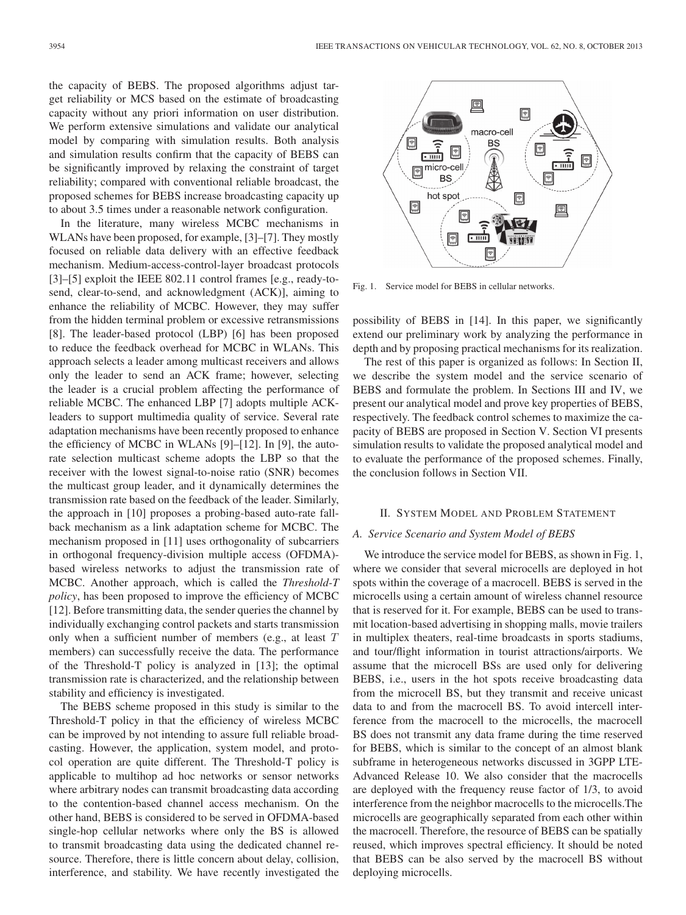the capacity of BEBS. The proposed algorithms adjust target reliability or MCS based on the estimate of broadcasting capacity without any priori information on user distribution. We perform extensive simulations and validate our analytical model by comparing with simulation results. Both analysis and simulation results confirm that the capacity of BEBS can be significantly improved by relaxing the constraint of target reliability; compared with conventional reliable broadcast, the proposed schemes for BEBS increase broadcasting capacity up to about 3.5 times under a reasonable network configuration.

In the literature, many wireless MCBC mechanisms in WLANs have been proposed, for example, [3]–[7]. They mostly focused on reliable data delivery with an effective feedback mechanism. Medium-access-control-layer broadcast protocols [3]–[5] exploit the IEEE 802.11 control frames [e.g., ready-tosend, clear-to-send, and acknowledgment (ACK)], aiming to enhance the reliability of MCBC. However, they may suffer from the hidden terminal problem or excessive retransmissions [8]. The leader-based protocol (LBP) [6] has been proposed to reduce the feedback overhead for MCBC in WLANs. This approach selects a leader among multicast receivers and allows only the leader to send an ACK frame; however, selecting the leader is a crucial problem affecting the performance of reliable MCBC. The enhanced LBP [7] adopts multiple ACKleaders to support multimedia quality of service. Several rate adaptation mechanisms have been recently proposed to enhance the efficiency of MCBC in WLANs [9]–[12]. In [9], the autorate selection multicast scheme adopts the LBP so that the receiver with the lowest signal-to-noise ratio (SNR) becomes the multicast group leader, and it dynamically determines the transmission rate based on the feedback of the leader. Similarly, the approach in [10] proposes a probing-based auto-rate fallback mechanism as a link adaptation scheme for MCBC. The mechanism proposed in [11] uses orthogonality of subcarriers in orthogonal frequency-division multiple access (OFDMA) based wireless networks to adjust the transmission rate of MCBC. Another approach, which is called the *Threshold-T policy*, has been proposed to improve the efficiency of MCBC [12]. Before transmitting data, the sender queries the channel by individually exchanging control packets and starts transmission only when a sufficient number of members (e.g., at least T members) can successfully receive the data. The performance of the Threshold-T policy is analyzed in [13]; the optimal transmission rate is characterized, and the relationship between stability and efficiency is investigated.

The BEBS scheme proposed in this study is similar to the Threshold-T policy in that the efficiency of wireless MCBC can be improved by not intending to assure full reliable broadcasting. However, the application, system model, and protocol operation are quite different. The Threshold-T policy is applicable to multihop ad hoc networks or sensor networks where arbitrary nodes can transmit broadcasting data according to the contention-based channel access mechanism. On the other hand, BEBS is considered to be served in OFDMA-based single-hop cellular networks where only the BS is allowed to transmit broadcasting data using the dedicated channel resource. Therefore, there is little concern about delay, collision, interference, and stability. We have recently investigated the



Fig. 1. Service model for BEBS in cellular networks.

possibility of BEBS in [14]. In this paper, we significantly extend our preliminary work by analyzing the performance in depth and by proposing practical mechanisms for its realization.

The rest of this paper is organized as follows: In Section II, we describe the system model and the service scenario of BEBS and formulate the problem. In Sections III and IV, we present our analytical model and prove key properties of BEBS, respectively. The feedback control schemes to maximize the capacity of BEBS are proposed in Section V. Section VI presents simulation results to validate the proposed analytical model and to evaluate the performance of the proposed schemes. Finally, the conclusion follows in Section VII.

#### II. SYSTEM MODEL AND PROBLEM STATEMENT

# *A. Service Scenario and System Model of BEBS*

We introduce the service model for BEBS, as shown in Fig. 1, where we consider that several microcells are deployed in hot spots within the coverage of a macrocell. BEBS is served in the microcells using a certain amount of wireless channel resource that is reserved for it. For example, BEBS can be used to transmit location-based advertising in shopping malls, movie trailers in multiplex theaters, real-time broadcasts in sports stadiums, and tour/flight information in tourist attractions/airports. We assume that the microcell BSs are used only for delivering BEBS, i.e., users in the hot spots receive broadcasting data from the microcell BS, but they transmit and receive unicast data to and from the macrocell BS. To avoid intercell interference from the macrocell to the microcells, the macrocell BS does not transmit any data frame during the time reserved for BEBS, which is similar to the concept of an almost blank subframe in heterogeneous networks discussed in 3GPP LTE-Advanced Release 10. We also consider that the macrocells are deployed with the frequency reuse factor of 1/3, to avoid interference from the neighbor macrocells to the microcells.The microcells are geographically separated from each other within the macrocell. Therefore, the resource of BEBS can be spatially reused, which improves spectral efficiency. It should be noted that BEBS can be also served by the macrocell BS without deploying microcells.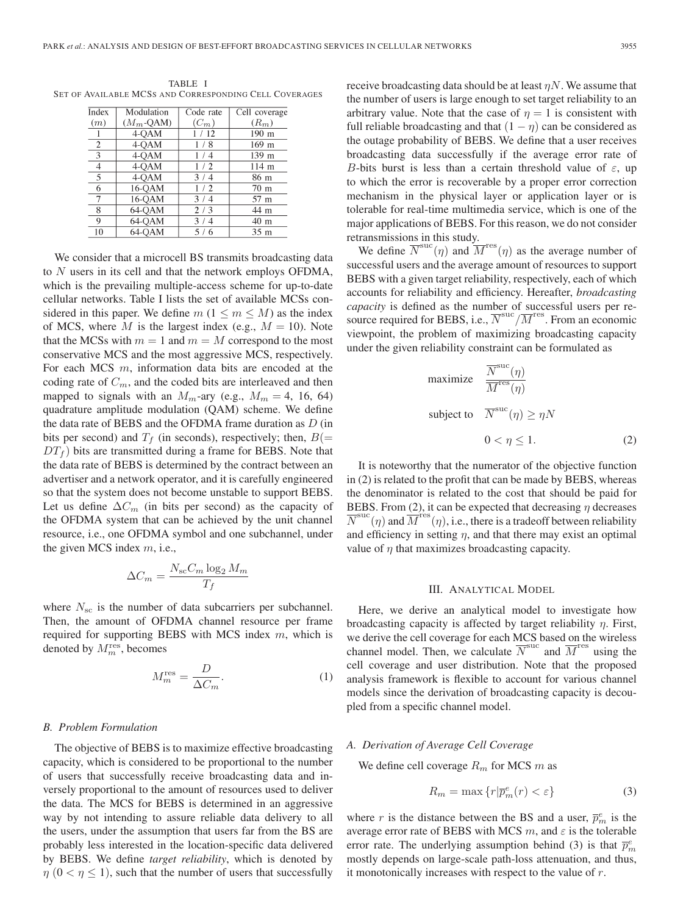TABLE I SET OF AVAILABLE MCSS AND CORRESPONDING CELL COVERAGES

| Index          | Modulation          | Code rate | Cell coverage   |
|----------------|---------------------|-----------|-----------------|
| (m)            | $(M_m$ -QAM)        | $(C_m)$   | $(R_m)$         |
|                | 4-QAM               | 1/12      | 190 m           |
| $\overline{2}$ | 4-OAM               | 1/8       | 169 m           |
| 3              | 4-OAM               | 1 / 4     | 139 m           |
| $\overline{4}$ | $\overline{4}$ -QAM | 1/2       | 114 m           |
| 5              | 4-QAM               | 3/4       | 86 m            |
| 6              | 16-OAM              | 1/2       | 70 <sub>m</sub> |
| 7              | 16-QAM              | 3/4       | 57 m            |
| 8              | 64-OAM              | 2/3       | 44 m            |
| 9              | 64-OAM              | 3/4       | 40 m            |
| 10             | 64-OAM              | 5/6       | 35 <sub>m</sub> |

We consider that a microcell BS transmits broadcasting data to N users in its cell and that the network employs OFDMA, which is the prevailing multiple-access scheme for up-to-date cellular networks. Table I lists the set of available MCSs considered in this paper. We define  $m (1 \le m \le M)$  as the index of MCS, where M is the largest index (e.g.,  $M = 10$ ). Note that the MCSs with  $m = 1$  and  $m = M$  correspond to the most conservative MCS and the most aggressive MCS, respectively. For each MCS  $m$ , information data bits are encoded at the coding rate of  $C_m$ , and the coded bits are interleaved and then mapped to signals with an  $M_m$ -ary (e.g.,  $M_m = 4$ , 16, 64) quadrature amplitude modulation (QAM) scheme. We define the data rate of BEBS and the OFDMA frame duration as  $D$  (in bits per second) and  $T_f$  (in seconds), respectively; then,  $B(=$  $DT_f$ ) bits are transmitted during a frame for BEBS. Note that the data rate of BEBS is determined by the contract between an advertiser and a network operator, and it is carefully engineered so that the system does not become unstable to support BEBS. Let us define  $\Delta C_m$  (in bits per second) as the capacity of the OFDMA system that can be achieved by the unit channel resource, i.e., one OFDMA symbol and one subchannel, under the given MCS index  $m$ , i.e.,

$$
\Delta C_m = \frac{N_{\rm sc} C_m \log_2 M_m}{T_f}
$$

where  $N_{\rm sc}$  is the number of data subcarriers per subchannel. Then, the amount of OFDMA channel resource per frame required for supporting BEBS with MCS index  $m$ , which is denoted by  $M_m^{\text{res}}$ , becomes

$$
M_m^{\text{res}} = \frac{D}{\Delta C_m}.\tag{1}
$$

#### *B. Problem Formulation*

The objective of BEBS is to maximize effective broadcasting capacity, which is considered to be proportional to the number of users that successfully receive broadcasting data and inversely proportional to the amount of resources used to deliver the data. The MCS for BEBS is determined in an aggressive way by not intending to assure reliable data delivery to all the users, under the assumption that users far from the BS are probably less interested in the location-specific data delivered by BEBS. We define *target reliability*, which is denoted by  $\eta$  ( $0 < \eta \leq 1$ ), such that the number of users that successfully

receive broadcasting data should be at least  $\eta N$ . We assume that the number of users is large enough to set target reliability to an arbitrary value. Note that the case of  $\eta = 1$  is consistent with full reliable broadcasting and that  $(1 - \eta)$  can be considered as the outage probability of BEBS. We define that a user receives broadcasting data successfully if the average error rate of B-bits burst is less than a certain threshold value of  $\varepsilon$ , up to which the error is recoverable by a proper error correction mechanism in the physical layer or application layer or is tolerable for real-time multimedia service, which is one of the major applications of BEBS. For this reason, we do not consider retransmissions in this study.

We define  $\overline{N}^{\text{suc}}(\eta)$  and  $\overline{M}^{\text{res}}(\eta)$  as the average number of successful users and the average amount of resources to support BEBS with a given target reliability, respectively, each of which accounts for reliability and efficiency. Hereafter, *broadcasting capacity* is defined as the number of successful users per resource required for BEBS, i.e.,  $\overline{N}^{\text{suc}}/\overline{M}^{\text{res}}$ . From an economic viewpoint, the problem of maximizing broadcasting capacity under the given reliability constraint can be formulated as

maximize 
$$
\frac{\overline{N}^{\text{suc}}(\eta)}{\overline{M}^{\text{res}}(\eta)}
$$
  
subject to  $\overline{N}^{\text{suc}}(\eta) \ge \eta N$   
 $0 < \eta \le 1.$  (2)

It is noteworthy that the numerator of the objective function in (2) is related to the profit that can be made by BEBS, whereas the denominator is related to the cost that should be paid for BEBS. From (2), it can be expected that decreasing  $\eta$  decreases  $\overline{N}^{\text{suc}}(\eta)$  and  $\overline{M}^{\text{res}}(\eta)$ , i.e., there is a tradeoff between reliability and efficiency in setting  $\eta$ , and that there may exist an optimal value of  $\eta$  that maximizes broadcasting capacity.

#### III. ANALYTICAL MODEL

Here, we derive an analytical model to investigate how broadcasting capacity is affected by target reliability  $\eta$ . First, we derive the cell coverage for each MCS based on the wireless channel model. Then, we calculate  $\overline{N}^{\text{suc}}$  and  $\overline{M}^{\text{res}}$  using the cell coverage and user distribution. Note that the proposed analysis framework is flexible to account for various channel models since the derivation of broadcasting capacity is decoupled from a specific channel model.

#### *A. Derivation of Average Cell Coverage*

We define cell coverage  $R_m$  for MCS m as

$$
R_m = \max\left\{r|\overline{p}_m^e(r) < \varepsilon\right\} \tag{3}
$$

where r is the distance between the BS and a user,  $\bar{p}_m^e$  is the average error rate of BEBS with MCS  $m$ , and  $\varepsilon$  is the tolerable error rate. The underlying assumption behind (3) is that  $\bar{p}_m^e$ mostly depends on large-scale path-loss attenuation, and thus, it monotonically increases with respect to the value of r.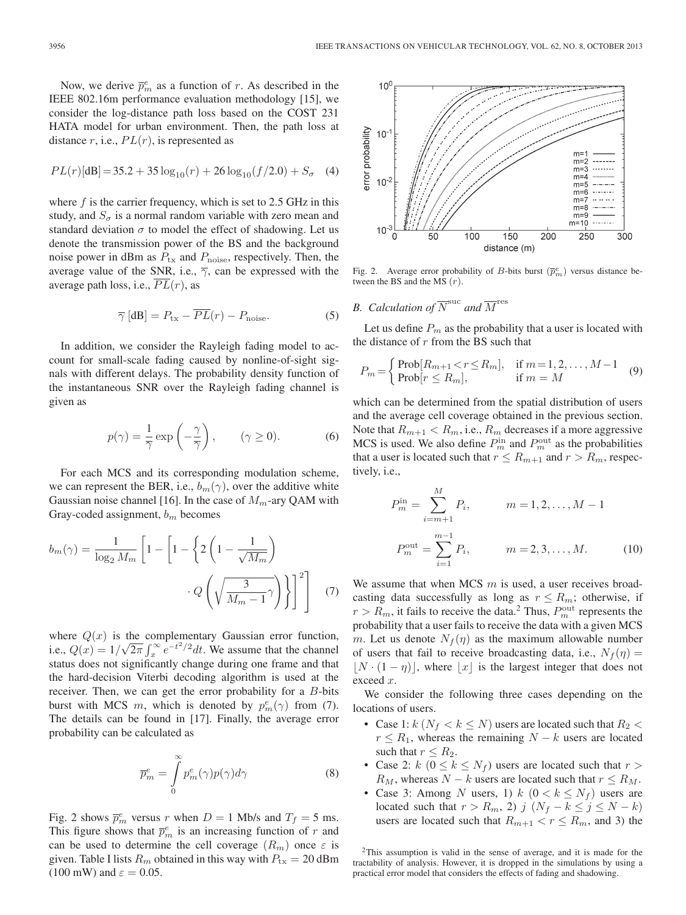Now, we derive  $\overline{p}_m^e$  as a function of r. As described in the IEEE 802.16m performance evaluation methodology [15], we consider the log-distance path loss based on the COST 231 HATA model for urban environment. Then, the path loss at distance  $r$ , i.e.,  $PL(r)$ , is represented as

$$
PL(r)[dB] = 35.2 + 35 \log_{10}(r) + 26 \log_{10}(f/2.0) + S_{\sigma}
$$
 (4)

where  $f$  is the carrier frequency, which is set to 2.5 GHz in this study, and  $S_{\sigma}$  is a normal random variable with zero mean and standard deviation  $\sigma$  to model the effect of shadowing. Let us denote the transmission power of the BS and the background noise power in dBm as  $P_{\text{tx}}$  and  $P_{\text{noise}}$ , respectively. Then, the average value of the SNR, i.e.,  $\overline{\gamma}$ , can be expressed with the average path loss, i.e.,  $\overline{PL}(r)$ , as

$$
\overline{\gamma} \left[ \text{dB} \right] = P_{\text{tx}} - \overline{PL}(r) - P_{\text{noise}}.
$$
 (5)

In addition, we consider the Rayleigh fading model to account for small-scale fading caused by nonline-of-sight signals with different delays. The probability density function of the instantaneous SNR over the Rayleigh fading channel is given as

$$
p(\gamma) = \frac{1}{\overline{\gamma}} \exp\left(-\frac{\gamma}{\overline{\gamma}}\right), \qquad (\gamma \ge 0). \tag{6}
$$

For each MCS and its corresponding modulation scheme, we can represent the BER, i.e.,  $b_m(\gamma)$ , over the additive white Gaussian noise channel [16]. In the case of  $M_m$ -ary QAM with Gray-coded assignment,  $b_m$  becomes

$$
b_m(\gamma) = \frac{1}{\log_2 M_m} \left[ 1 - \left[ 1 - \left\{ 2 \left( 1 - \frac{1}{\sqrt{M_m}} \right) \right. \right. \right. \left. - Q \left( \sqrt{\frac{3}{M_m - 1}} \gamma \right) \right\} \right]^2 \right] \tag{7}
$$

where  $Q(x)$  is the complementary Gaussian error function, i.e.,  $Q(x) = 1/\sqrt{2\pi} \int_x^{\infty} e^{-t^2/2} dt$ . We assume that the channel status does not significantly change during one frame and that the hard-decision Viterbi decoding algorithm is used at the receiver. Then, we can get the error probability for a B-bits burst with MCS m, which is denoted by  $p_m^e(\gamma)$  from (7). The details can be found in [17]. Finally, the average error probability can be calculated as

$$
\overline{p}_m^e = \int_0^\infty p_m^e(\gamma) p(\gamma) d\gamma \tag{8}
$$

Fig. 2 shows  $\bar{p}_m^e$  versus r when  $D = 1$  Mb/s and  $T_f = 5$  ms. This figure shows that  $\bar{p}_m^e$  is an increasing function of r and can be used to determine the cell coverage  $(R_m)$  once  $\varepsilon$  is given. Table I lists  $R_m$  obtained in this way with  $P_{tx} = 20$  dBm (100 mW) and  $\varepsilon = 0.05$ .



Fig. 2. Average error probability of B-bits burst  $(\overline{p}_m^e)$  versus distance between the BS and the MS  $(r)$ .

# *B. Calculation of*  $\overline{N}^{\text{suc}}$  *and*  $\overline{M}^{\text{res}}$

Let us define  $P_m$  as the probability that a user is located with the distance of  $r$  from the BS such that

$$
P_m = \begin{cases} \text{Prob}[R_{m+1} < r \le R_m], & \text{if } m = 1, 2, \dots, M-1 \\ \text{Prob}[r \le R_m], & \text{if } m = M \end{cases} \tag{9}
$$

which can be determined from the spatial distribution of users and the average cell coverage obtained in the previous section. Note that  $R_{m+1} < R_m$ , i.e.,  $R_m$  decreases if a more aggressive MCS is used. We also define  $P_m^{\text{in}}$  and  $P_m^{\text{out}}$  as the probabilities that a user is located such that  $r \le R_{m+1}$  and  $r > R_m$ , respectively, i.e.,

$$
P_m^{\text{in}} = \sum_{i=m+1}^{M} P_i, \qquad m = 1, 2, ..., M - 1
$$

$$
P_m^{\text{out}} = \sum_{i=1}^{m-1} P_i, \qquad m = 2, 3, ..., M. \qquad (10)
$$

We assume that when MCS  $m$  is used, a user receives broadcasting data successfully as long as  $r \le R_m$ ; otherwise, if  $r > R_m$ , it fails to receive the data.<sup>2</sup> Thus,  $P_m^{\text{out}}$  represents the probability that a user fails to receive the data with a given MCS m. Let us denote  $N_f(\eta)$  as the maximum allowable number of users that fail to receive broadcasting data, i.e.,  $N_f(\eta) =$  $\lfloor N \cdot (1 - \eta) \rfloor$ , where  $\lfloor x \rfloor$  is the largest integer that does not exceed x.

We consider the following three cases depending on the locations of users.

- Case 1:  $k (N_f < k \leq N)$  users are located such that  $R_2 <$  $r \leq R_1$ , whereas the remaining  $N - k$  users are located such that  $r \leq R_2$ .
- Case 2:  $k$  ( $0 \le k \le N_f$ ) users are located such that  $r >$  $R_M$ , whereas  $N - k$  users are located such that  $r \le R_M$ .
- Case 3: Among N users, 1)  $k$   $(0 < k \le N_f)$  users are located such that  $r > R_m$ , 2) j  $(N_f - k \le j \le N - k)$ users are located such that  $R_{m+1} < r \le R_m$ , and 3) the

<sup>2</sup>This assumption is valid in the sense of average, and it is made for the tractability of analysis. However, it is dropped in the simulations by using a practical error model that considers the effects of fading and shadowing.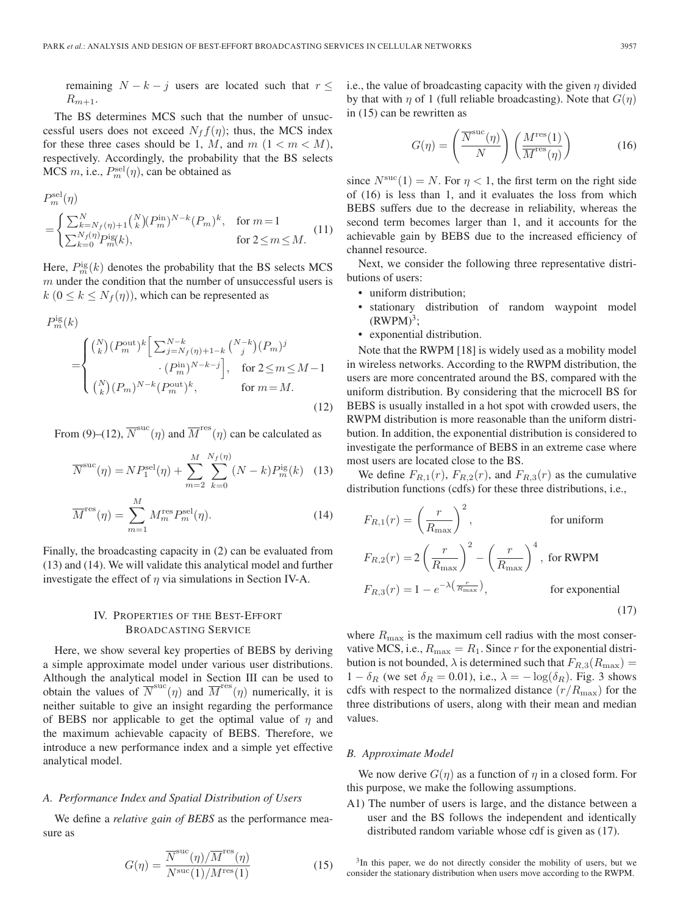remaining  $N - k - j$  users are located such that  $r \leq$  $R_{m+1}$ .

The BS determines MCS such that the number of unsuccessful users does not exceed  $N_f f(\eta)$ ; thus, the MCS index for these three cases should be 1, M, and  $m$   $(1 < m < M)$ , respectively. Accordingly, the probability that the BS selects MCS  $m$ , i.e.,  $P_m^{\text{sel}}(\eta)$ , can be obtained as

$$
P_m^{\text{sel}}(\eta) = \begin{cases} \sum_{k=N_f(\eta)+1}^{N} {N \choose k} (P_m^{\text{in}})^{N-k} (P_m)^k, & \text{for } m=1\\ \sum_{k=0}^{N_f(\eta)} P_m^{\text{is}}(k), & \text{for } 2 \le m \le M. \end{cases}
$$
(11)

Here,  $P_m^{\text{ig}}(k)$  denotes the probability that the BS selects MCS  $m$  under the condition that the number of unsuccessful users is  $k$  ( $0 \le k \le N_f(\eta)$ ), which can be represented as

$$
P_m^{\text{ig}}(k) = \begin{cases} {N \choose k} (P_m^{\text{out}})^k \left[ \sum_{j=N_f(\eta)+1-k}^{N-k} {N-k \choose j} (P_m)^j \right. \\ \left. \quad \cdot (P_m^{\text{in}})^{N-k-j} \right], & \text{for } 2 \le m \le M-1 \\ {N \choose k} (P_m)^{N-k} (P_m^{\text{out}})^k, & \text{for } m = M. \end{cases}
$$
\n(12)

From (9)–(12),  $\overline{N}^{succ}(\eta)$  and  $\overline{M}^{res}(\eta)$  can be calculated as

$$
\overline{N}^{\text{suc}}(\eta) = NP_1^{\text{sel}}(\eta) + \sum_{m=2}^{M} \sum_{k=0}^{N_f(\eta)} (N - k) P_m^{\text{ig}}(k) \quad (13)
$$

$$
\overline{M}^{\text{res}}(\eta) = \sum_{m=1}^{M} M_m^{\text{res}} P_m^{\text{sel}}(\eta). \tag{14}
$$

Finally, the broadcasting capacity in (2) can be evaluated from (13) and (14). We will validate this analytical model and further investigate the effect of  $\eta$  via simulations in Section IV-A.

# IV. PROPERTIES OF THE BEST-EFFORT BROADCASTING SERVICE

Here, we show several key properties of BEBS by deriving a simple approximate model under various user distributions. Although the analytical model in Section III can be used to obtain the values of  $\overline{N}^{succ}(\eta)$  and  $\overline{M}^{res}(\eta)$  numerically, it is neither suitable to give an insight regarding the performance of BEBS nor applicable to get the optimal value of  $\eta$  and the maximum achievable capacity of BEBS. Therefore, we introduce a new performance index and a simple yet effective analytical model.

#### *A. Performance Index and Spatial Distribution of Users*

We define a *relative gain of BEBS* as the performance measure as

$$
G(\eta) = \frac{\overline{N}^{\rm suc}(\eta)/\overline{M}^{\rm res}(\eta)}{N^{\rm suc}(1)/M^{\rm res}(1)}
$$
(15)

i.e., the value of broadcasting capacity with the given  $\eta$  divided by that with  $\eta$  of 1 (full reliable broadcasting). Note that  $G(\eta)$ in (15) can be rewritten as

$$
G(\eta) = \left(\frac{\overline{N}^{\rm suc}(\eta)}{N}\right) \left(\frac{M^{\rm res}(1)}{\overline{M}^{\rm res}(\eta)}\right)
$$
(16)

since  $N<sup>succ</sup>(1) = N$ . For  $\eta < 1$ , the first term on the right side of (16) is less than 1, and it evaluates the loss from which BEBS suffers due to the decrease in reliability, whereas the second term becomes larger than 1, and it accounts for the achievable gain by BEBS due to the increased efficiency of channel resource.

Next, we consider the following three representative distributions of users:

- uniform distribution;
- stationary distribution of random waypoint model  $(RWPM)^3$ ;
- exponential distribution.

Note that the RWPM [18] is widely used as a mobility model in wireless networks. According to the RWPM distribution, the users are more concentrated around the BS, compared with the uniform distribution. By considering that the microcell BS for BEBS is usually installed in a hot spot with crowded users, the RWPM distribution is more reasonable than the uniform distribution. In addition, the exponential distribution is considered to investigate the performance of BEBS in an extreme case where most users are located close to the BS.

We define  $F_{R,1}(r)$ ,  $F_{R,2}(r)$ , and  $F_{R,3}(r)$  as the cumulative distribution functions (cdfs) for these three distributions, i.e.,

$$
F_{R,1}(r) = \left(\frac{r}{R_{\text{max}}}\right)^2, \qquad \text{for uniform}
$$
  

$$
F_{R,2}(r) = 2\left(\frac{r}{R_{\text{max}}}\right)^2 - \left(\frac{r}{R_{\text{max}}}\right)^4, \text{ for RWPM}
$$
  

$$
F_{R,3}(r) = 1 - e^{-\lambda\left(\frac{r}{R_{\text{max}}}\right)}, \qquad \text{for exponential}
$$
 (17)

where  $R_{\text{max}}$  is the maximum cell radius with the most conservative MCS, i.e.,  $R_{\text{max}} = R_1$ . Since r for the exponential distribution is not bounded,  $\lambda$  is determined such that  $F_{R,3}(R_{\text{max}})$  =  $1 - \delta_R$  (we set  $\delta_R = 0.01$ ), i.e.,  $\lambda = -\log(\delta_R)$ . Fig. 3 shows cdfs with respect to the normalized distance  $(r/R_{\text{max}})$  for the three distributions of users, along with their mean and median values.

#### *B. Approximate Model*

We now derive  $G(\eta)$  as a function of  $\eta$  in a closed form. For this purpose, we make the following assumptions.

A1) The number of users is large, and the distance between a user and the BS follows the independent and identically distributed random variable whose cdf is given as (17).

<sup>3</sup>In this paper, we do not directly consider the mobility of users, but we consider the stationary distribution when users move according to the RWPM.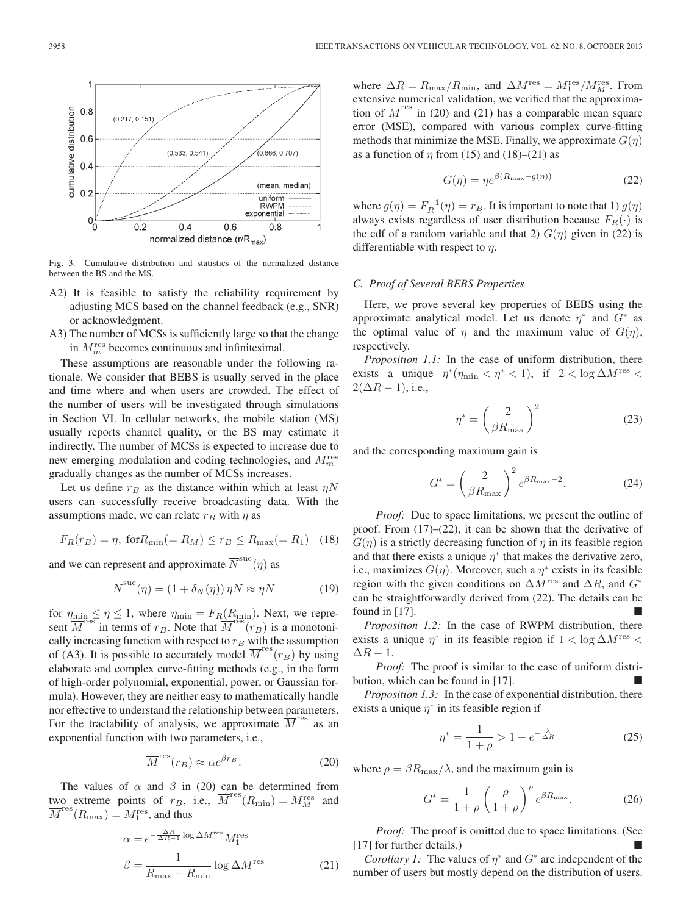

Fig. 3. Cumulative distribution and statistics of the normalized distance between the BS and the MS.

- A2) It is feasible to satisfy the reliability requirement by adjusting MCS based on the channel feedback (e.g., SNR) or acknowledgment.
- A3) The number of MCSs is sufficiently large so that the change in  $M_m^{\text{res}}$  becomes continuous and infinitesimal.

These assumptions are reasonable under the following rationale. We consider that BEBS is usually served in the place and time where and when users are crowded. The effect of the number of users will be investigated through simulations in Section VI. In cellular networks, the mobile station (MS) usually reports channel quality, or the BS may estimate it indirectly. The number of MCSs is expected to increase due to new emerging modulation and coding technologies, and  $M_m^{\text{res}}$ gradually changes as the number of MCSs increases.

Let us define  $r_B$  as the distance within which at least  $\eta N$ users can successfully receive broadcasting data. With the assumptions made, we can relate  $r_B$  with  $\eta$  as

$$
F_R(r_B) = \eta, \text{ for } R_{\min} (= R_M) \le r_B \le R_{\max} (= R_1) \quad (18)
$$

and we can represent and approximate  $\overline{N}^{\text{suc}}(\eta)$  as

$$
\overline{N}^{\text{suc}}(\eta) = (1 + \delta_N(\eta)) \eta N \approx \eta N \tag{19}
$$

for  $\eta_{\min} \leq \eta \leq 1$ , where  $\eta_{\min} = F_R(R_{\min})$ . Next, we represent  $\overline{M}^{\text{res}}$  in terms of  $r_B$ . Note that  $\overline{M}^{\text{res}}(r_B)$  is a monotonically increasing function with respect to  $r_B$  with the assumption of (A3). It is possible to accurately model  $\overline{M}^{\text{res}}(r_B)$  by using elaborate and complex curve-fitting methods (e.g., in the form of high-order polynomial, exponential, power, or Gaussian formula). However, they are neither easy to mathematically handle nor effective to understand the relationship between parameters. For the tractability of analysis, we approximate  $\overline{M}^{\text{res}}$  as an exponential function with two parameters, i.e.,

$$
\overline{M}^{\text{res}}(r_B) \approx \alpha e^{\beta r_B}.
$$
 (20)

The values of  $\alpha$  and  $\beta$  in (20) can be determined from two extreme points of  $r_B$ , i.e.,  $\overline{M}^{\text{res}}(R_{\text{min}}) = M_M^{\text{res}}$  and  $\overline{M}^{\text{res}}(R_{\text{max}}) = M_1^{\text{res}},$  and thus

$$
\alpha = e^{-\frac{\Delta R}{\Delta R - 1}\log \Delta M^{\text{res}}} M_1^{\text{res}}
$$

$$
\beta = \frac{1}{R_{\text{max}} - R_{\text{min}}} \log \Delta M^{\text{res}}
$$
(21)

where  $\Delta R = R_{\text{max}}/R_{\text{min}}$ , and  $\Delta M^{\text{res}} = M_1^{\text{res}}/M_M^{\text{res}}$ . From extensive numerical validation, we verified that the approximation of  $\overline{M}^{\text{res}}$  in (20) and (21) has a comparable mean square error (MSE), compared with various complex curve-fitting methods that minimize the MSE. Finally, we approximate  $G(\eta)$ as a function of  $\eta$  from (15) and (18)–(21) as

$$
G(\eta) = \eta e^{\beta(R_{\text{max}} - g(\eta))} \tag{22}
$$

where  $g(\eta) = F_R^{-1}(\eta) = r_B$ . It is important to note that 1)  $g(\eta)$ always exists regardless of user distribution because  $F_R(\cdot)$  is the cdf of a random variable and that 2)  $G(\eta)$  given in (22) is differentiable with respect to  $\eta$ .

# *C. Proof of Several BEBS Properties*

Here, we prove several key properties of BEBS using the approximate analytical model. Let us denote  $\eta^*$  and  $G^*$  as the optimal value of  $\eta$  and the maximum value of  $G(\eta)$ , respectively.

*Proposition 1.1:* In the case of uniform distribution, there exists a unique  $\eta^*(\eta_{\min} < \eta^* < 1)$ , if  $2 < \log \Delta M^{\text{res}} <$  $2(\Delta R - 1)$ , i.e.,

$$
\eta^* = \left(\frac{2}{\beta R_{\text{max}}}\right)^2 \tag{23}
$$

and the corresponding maximum gain is

$$
G^* = \left(\frac{2}{\beta R_{\text{max}}}\right)^2 e^{\beta R_{\text{max}} - 2}.
$$
 (24)

*Proof:* Due to space limitations, we present the outline of proof. From (17)–(22), it can be shown that the derivative of  $G(\eta)$  is a strictly decreasing function of  $\eta$  in its feasible region and that there exists a unique  $\eta^*$  that makes the derivative zero, i.e., maximizes  $G(\eta)$ . Moreover, such a  $\eta^*$  exists in its feasible region with the given conditions on  $\Delta M$ <sup>res</sup> and  $\Delta R$ , and  $G^*$ can be straightforwardly derived from (22). The details can be found in  $[17]$ .

*Proposition 1.2:* In the case of RWPM distribution, there exists a unique  $\eta^*$  in its feasible region if  $1 < \log \Delta M$ <sup>res</sup> <  $\Delta R - 1$ .

*Proof:* The proof is similar to the case of uniform distribution, which can be found in [17].

*Proposition 1.3:* In the case of exponential distribution, there exists a unique  $\eta^*$  in its feasible region if

$$
\eta^* = \frac{1}{1+\rho} > 1 - e^{-\frac{\lambda}{\Delta R}}
$$
 (25)

where  $\rho = \beta R_{\text{max}}/\lambda$ , and the maximum gain is

$$
G^* = \frac{1}{1+\rho} \left(\frac{\rho}{1+\rho}\right)^{\rho} e^{\beta R_{\text{max}}}.
$$
 (26)

*Proof:* The proof is omitted due to space limitations. (See  $[17]$  for further details.)

*Corollary 1:* The values of  $\eta^*$  and  $G^*$  are independent of the number of users but mostly depend on the distribution of users.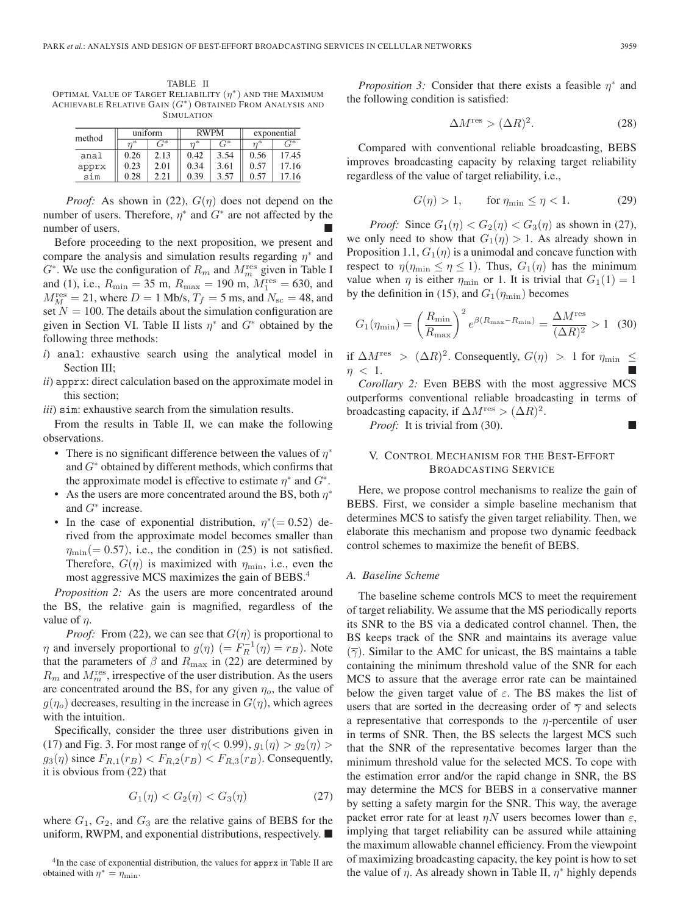TABLE II OPTIMAL VALUE OF TARGET RELIABILITY  $(\eta^*)$  and the Maximum ACHIEVABLE RELATIVE GAIN  $(G^*)$  Obtained From Analysis and SIMULATION

| method | uniform |               | <b>RWPM</b> |                                     | exponential |                |
|--------|---------|---------------|-------------|-------------------------------------|-------------|----------------|
|        |         | $\frac{1}{2}$ | $n^*$       | $\mathfrak{c}^{\overline{\gamma}*}$ | $n^*$       | $\mathbb{R}^*$ |
| anal   | 0.26    | 2.13          | 0.42        | 3.54                                | 0.56        | 17.45          |
| apprx  | 0.23    | 2.01          | 0.34        | 3.61                                | 0.57        | 17.16          |
| sim    | 0.28    |               | 0.39        | 3.57                                | 0.57        | 17 16          |

*Proof:* As shown in (22),  $G(\eta)$  does not depend on the number of users. Therefore,  $\eta^*$  and  $G^*$  are not affected by the number of users.

Before proceeding to the next proposition, we present and compare the analysis and simulation results regarding  $\eta^*$  and  $G^*$ . We use the configuration of  $R_m$  and  $M_m^{\text{res}}$  given in Table I and (1), i.e.,  $R_{\text{min}} = 35 \text{ m}$ ,  $R_{\text{max}} = 190 \text{ m}$ ,  $M_1^{\text{res}} = 630$ , and  $M_M^{\text{res}} = 21$ , where  $D = 1$  Mb/s,  $T_f = 5$  ms, and  $N_{\text{sc}} = 48$ , and set  $N = 100$ . The details about the simulation configuration are given in Section VI. Table II lists  $\eta^*$  and  $G^*$  obtained by the following three methods:

- *i*) anal: exhaustive search using the analytical model in Section III;
- *ii*) apprx: direct calculation based on the approximate model in this section;
- *iii*) sim: exhaustive search from the simulation results.

From the results in Table II, we can make the following observations.

- There is no significant difference between the values of  $\eta^*$ and  $G^*$  obtained by different methods, which confirms that the approximate model is effective to estimate  $\eta^*$  and  $G^*$ .
- As the users are more concentrated around the BS, both  $\eta^*$ and  $G^*$  increase.
- In the case of exponential distribution,  $\eta^*(=0.52)$  derived from the approximate model becomes smaller than  $\eta_{\text{min}}(= 0.57)$ , i.e., the condition in (25) is not satisfied. Therefore,  $G(\eta)$  is maximized with  $\eta_{\text{min}}$ , i.e., even the most aggressive MCS maximizes the gain of BEBS.4

*Proposition 2:* As the users are more concentrated around the BS, the relative gain is magnified, regardless of the value of  $\eta$ .

*Proof:* From (22), we can see that  $G(\eta)$  is proportional to  $\eta$  and inversely proportional to  $g(\eta)$  (=  $F_R^{-1}(\eta) = r_B$ ). Note that the parameters of  $\beta$  and  $R_{\text{max}}$  in (22) are determined by  $R_m$  and  $M_m^{\text{res}}$ , irrespective of the user distribution. As the users are concentrated around the BS, for any given  $\eta_o$ , the value of  $g(\eta_o)$  decreases, resulting in the increase in  $G(\eta)$ , which agrees with the intuition.

Specifically, consider the three user distributions given in (17) and Fig. 3. For most range of  $\eta$  (< 0.99),  $g_1(\eta) > g_2(\eta)$  $g_3(\eta)$  since  $F_{R,1}(r_B) < F_{R,2}(r_B) < F_{R,3}(r_B)$ . Consequently, it is obvious from (22) that

$$
G_1(\eta) < G_2(\eta) < G_3(\eta) \tag{27}
$$

where  $G_1, G_2$ , and  $G_3$  are the relative gains of BEBS for the uniform, RWPM, and exponential distributions, respectively.  $\blacksquare$ 

*Proposition 3:* Consider that there exists a feasible  $\eta^*$  and the following condition is satisfied:

$$
\Delta M^{\text{res}} > (\Delta R)^2. \tag{28}
$$

Compared with conventional reliable broadcasting, BEBS improves broadcasting capacity by relaxing target reliability regardless of the value of target reliability, i.e.,

$$
G(\eta) > 1, \qquad \text{for } \eta_{\text{min}} \le \eta < 1. \tag{29}
$$

*Proof:* Since  $G_1(\eta) < G_2(\eta) < G_3(\eta)$  as shown in (27), we only need to show that  $G_1(\eta) > 1$ . As already shown in Proposition 1.1,  $G_1(\eta)$  is a unimodal and concave function with respect to  $\eta(\eta_{\min} \leq \eta \leq 1)$ . Thus,  $G_1(\eta)$  has the minimum value when  $\eta$  is either  $\eta_{\text{min}}$  or 1. It is trivial that  $G_1(1) = 1$ by the definition in (15), and  $G_1(\eta_{\min})$  becomes

$$
G_1(\eta_{\min}) = \left(\frac{R_{\min}}{R_{\max}}\right)^2 e^{\beta(R_{\max} - R_{\min})} = \frac{\Delta M^{\text{res}}}{(\Delta R)^2} > 1 \quad (30)
$$

if  $\Delta M^{\text{res}} > (\Delta R)^2$ . Consequently,  $G(\eta) > 1$  for  $\eta_{\text{min}} \leq$  $\eta$  < 1.

*Corollary 2:* Even BEBS with the most aggressive MCS outperforms conventional reliable broadcasting in terms of broadcasting capacity, if  $\Delta M^{\text{res}} > (\Delta R)^2$ .

*Proof:* It is trivial from (30). ■

# V. CONTROL MECHANISM FOR THE BEST-EFFORT BROADCASTING SERVICE

Here, we propose control mechanisms to realize the gain of BEBS. First, we consider a simple baseline mechanism that determines MCS to satisfy the given target reliability. Then, we elaborate this mechanism and propose two dynamic feedback control schemes to maximize the benefit of BEBS.

# *A. Baseline Scheme*

The baseline scheme controls MCS to meet the requirement of target reliability. We assume that the MS periodically reports its SNR to the BS via a dedicated control channel. Then, the BS keeps track of the SNR and maintains its average value  $(\overline{\gamma})$ . Similar to the AMC for unicast, the BS maintains a table containing the minimum threshold value of the SNR for each MCS to assure that the average error rate can be maintained below the given target value of  $\varepsilon$ . The BS makes the list of users that are sorted in the decreasing order of  $\overline{\gamma}$  and selects a representative that corresponds to the  $\eta$ -percentile of user in terms of SNR. Then, the BS selects the largest MCS such that the SNR of the representative becomes larger than the minimum threshold value for the selected MCS. To cope with the estimation error and/or the rapid change in SNR, the BS may determine the MCS for BEBS in a conservative manner by setting a safety margin for the SNR. This way, the average packet error rate for at least  $\eta N$  users becomes lower than  $\varepsilon$ , implying that target reliability can be assured while attaining the maximum allowable channel efficiency. From the viewpoint of maximizing broadcasting capacity, the key point is how to set the value of  $\eta$ . As already shown in Table II,  $\eta^*$  highly depends

<sup>&</sup>lt;sup>4</sup>In the case of exponential distribution, the values for apprx in Table II are obtained with  $\eta^* = \eta_{\min}$ .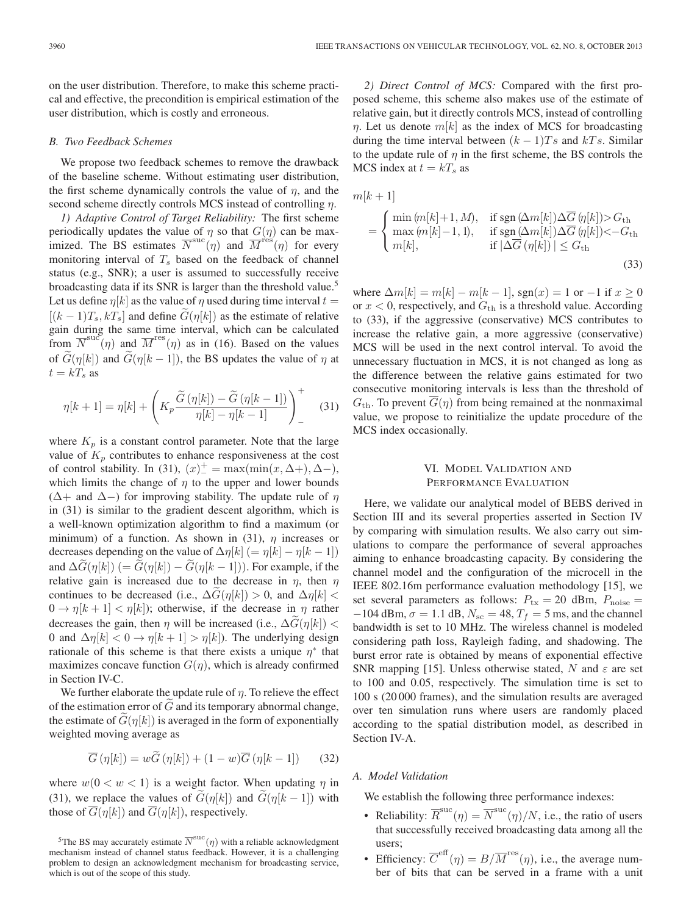on the user distribution. Therefore, to make this scheme practical and effective, the precondition is empirical estimation of the user distribution, which is costly and erroneous.

#### *B. Two Feedback Schemes*

We propose two feedback schemes to remove the drawback of the baseline scheme. Without estimating user distribution, the first scheme dynamically controls the value of  $\eta$ , and the second scheme directly controls MCS instead of controlling  $\eta$ .

*1) Adaptive Control of Target Reliability:* The first scheme periodically updates the value of  $\eta$  so that  $G(\eta)$  can be maximized. The BS estimates  $\overline{N}^{\text{suc}}(\eta)$  and  $\overline{M}^{\text{res}}(\eta)$  for every monitoring interval of  $T_s$  based on the feedback of channel status (e.g., SNR); a user is assumed to successfully receive broadcasting data if its SNR is larger than the threshold value.<sup>5</sup> Let us define  $\eta[k]$  as the value of  $\eta$  used during time interval  $t =$  $[(k-1)T_s, kT_s]$  and define  $G(\eta[k])$  as the estimate of relative gain during the same time interval, which can be calculated from  $\overline{N}^{\text{suc}}(\eta)$  and  $\overline{M}^{\text{res}}(\eta)$  as in (16). Based on the values of  $\tilde{G}(\eta[k])$  and  $\tilde{G}(\eta[k-1])$ , the BS updates the value of  $\eta$  at  $t = kT_s$  as

$$
\eta[k+1] = \eta[k] + \left( K_p \frac{\widetilde{G}(\eta[k]) - \widetilde{G}(\eta[k-1])}{\eta[k] - \eta[k-1]} \right)^{+} \tag{31}
$$

where  $K_p$  is a constant control parameter. Note that the large value of  $K_p$  contributes to enhance responsiveness at the cost of control stability. In (31),  $(x)^+ = \max(\min(x, \Delta +), \Delta -)$ , which limits the change of  $\eta$  to the upper and lower bounds ( $\Delta$ + and  $\Delta$ −) for improving stability. The update rule of  $\eta$ in (31) is similar to the gradient descent algorithm, which is a well-known optimization algorithm to find a maximum (or minimum) of a function. As shown in (31),  $\eta$  increases or decreases depending on the value of  $\Delta \eta[k]$  (=  $\eta[k] - \eta[k-1]$ ) and  $\Delta G(\eta[k])$  (=  $G(\eta[k]) - G(\eta[k-1])$ ). For example, if the relative gain is increased due to the decrease in  $\eta$ , then  $\eta$ continues to be decreased (i.e.,  $\Delta G(\eta[k]) > 0$ , and  $\Delta \eta[k] <$  $0 \to \eta[k+1] < \eta[k]$ ; otherwise, if the decrease in  $\eta$  rather decreases the gain, then  $\eta$  will be increased (i.e.,  $\Delta G(\eta[k])$  < 0 and  $\Delta \eta[k] < 0 \rightarrow \eta[k+1] > \eta[k]$ ). The underlying design rationale of this scheme is that there exists a unique  $\eta^*$  that maximizes concave function  $G(\eta)$ , which is already confirmed in Section IV-C.

We further elaborate the update rule of  $\eta$ . To relieve the effect of the estimation error of  $G$  and its temporary abnormal change, the estimate of  $G(\eta[k])$  is averaged in the form of exponentially weighted moving average as

$$
\overline{G}(\eta[k]) = w\widetilde{G}(\eta[k]) + (1-w)\overline{G}(\eta[k-1])
$$
 (32)

where  $w(0 \lt w \lt 1)$  is a weight factor. When updating  $\eta$  in (31), we replace the values of  $G(\eta[k])$  and  $G(\eta[k-1])$  with those of  $\overline{G}(\eta[k])$  and  $\overline{G}(\eta[k])$ , respectively.

*2) Direct Control of MCS:* Compared with the first proposed scheme, this scheme also makes use of the estimate of relative gain, but it directly controls MCS, instead of controlling  $\eta$ . Let us denote  $m[k]$  as the index of MCS for broadcasting during the time interval between  $(k-1)Ts$  and kTs. Similar to the update rule of  $\eta$  in the first scheme, the BS controls the MCS index at  $t = kT_s$  as

$$
m[k+1]
$$
  
= 
$$
\begin{cases} \min(m[k]+1,M), & \text{if sgn }(\Delta m[k])\Delta \overline{G}(\eta[k]) > G_{\text{th}} \\ \max(m[k]-1,1), & \text{if sgn }(\Delta m[k])\Delta \overline{G}(\eta[k]) < -G_{\text{th}} \\ m[k], & \text{if } |\Delta \overline{G}(\eta[k])| \le G_{\text{th}} \end{cases}
$$
(33)

where  $\Delta m[k] = m[k] - m[k-1]$ , sgn(x) = 1 or -1 if  $x \ge 0$ or  $x < 0$ , respectively, and  $G<sub>th</sub>$  is a threshold value. According to (33), if the aggressive (conservative) MCS contributes to increase the relative gain, a more aggressive (conservative) MCS will be used in the next control interval. To avoid the unnecessary fluctuation in MCS, it is not changed as long as the difference between the relative gains estimated for two consecutive monitoring intervals is less than the threshold of  $G<sub>th</sub>$ . To prevent  $\overline{G}(\eta)$  from being remained at the nonmaximal value, we propose to reinitialize the update procedure of the MCS index occasionally.

# VI. MODEL VALIDATION AND PERFORMANCE EVALUATION

Here, we validate our analytical model of BEBS derived in Section III and its several properties asserted in Section IV by comparing with simulation results. We also carry out simulations to compare the performance of several approaches aiming to enhance broadcasting capacity. By considering the channel model and the configuration of the microcell in the IEEE 802.16m performance evaluation methodology [15], we set several parameters as follows:  $P_{\text{tx}} = 20$  dBm,  $P_{\text{noise}} =$  $-104$  dBm,  $\sigma = 1.1$  dB,  $N_{\rm sc} = 48$ ,  $T_f = 5$  ms, and the channel bandwidth is set to 10 MHz. The wireless channel is modeled considering path loss, Rayleigh fading, and shadowing. The burst error rate is obtained by means of exponential effective SNR mapping [15]. Unless otherwise stated, N and  $\varepsilon$  are set to 100 and 0.05, respectively. The simulation time is set to 100 s (20 000 frames), and the simulation results are averaged over ten simulation runs where users are randomly placed according to the spatial distribution model, as described in Section IV-A.

# *A. Model Validation*

We establish the following three performance indexes:

- Reliability:  $\overline{R}^{\text{suc}}(\eta) = \overline{N}^{\text{suc}}(\eta)/N$ , i.e., the ratio of users that successfully received broadcasting data among all the users;
- Efficiency:  $\overline{C}^{\text{eff}}(\eta) = B/\overline{M}^{\text{res}}(\eta)$ , i.e., the average number of bits that can be served in a frame with a unit

<sup>&</sup>lt;sup>5</sup>The BS may accurately estimate  $\overline{N}^{\mathrm{suc}}(\eta)$  with a reliable acknowledgment mechanism instead of channel status feedback. However, it is a challenging problem to design an acknowledgment mechanism for broadcasting service, which is out of the scope of this study.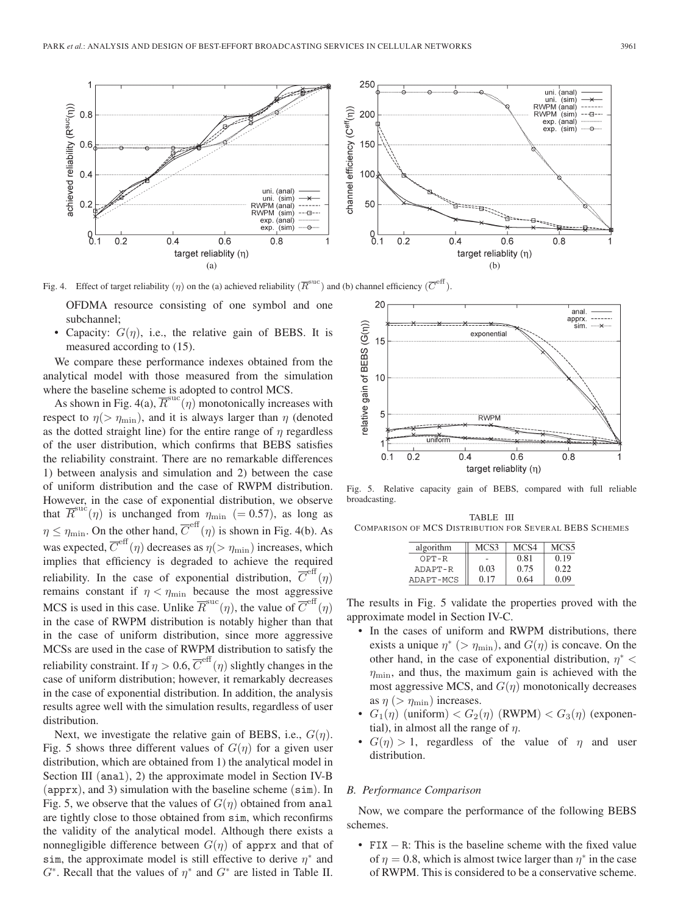

Fig. 4. Effect of target reliability  $(\eta)$  on the (a) achieved reliability  $(\overline{R}^{\text{succ}})$  and (b) channel efficiency  $(\overline{C}^{\text{eff}})$ .

OFDMA resource consisting of one symbol and one subchannel;

• Capacity:  $G(\eta)$ , i.e., the relative gain of BEBS. It is measured according to (15).

We compare these performance indexes obtained from the analytical model with those measured from the simulation where the baseline scheme is adopted to control MCS.

As shown in Fig. 4(a),  $\overline{R}^{\text{suc}}(\eta)$  monotonically increases with respect to  $\eta$ ( $> \eta_{\text{min}}$ ), and it is always larger than  $\eta$  (denoted as the dotted straight line) for the entire range of  $\eta$  regardless of the user distribution, which confirms that BEBS satisfies the reliability constraint. There are no remarkable differences 1) between analysis and simulation and 2) between the case of uniform distribution and the case of RWPM distribution. However, in the case of exponential distribution, we observe that  $\overline{R}^{\text{suc}}(\eta)$  is unchanged from  $\eta_{\text{min}}$  (= 0.57), as long as  $\eta \leq \eta_{\min}$ . On the other hand,  $\overline{C}^{\text{eff}}(\eta)$  is shown in Fig. 4(b). As was expected,  $\overline{C}^{\text{eff}}(\eta)$  decreases as  $\eta(>\eta_{\text{min}})$  increases, which implies that efficiency is degraded to achieve the required reliability. In the case of exponential distribution,  $\overline{C}^{\text{ent}}(\eta)$ remains constant if  $\eta < \eta_{\text{min}}$  because the most aggressive MCS is used in this case. Unlike  $\overline{R}^{\text{succ}}(\eta)$ , the value of  $\overline{C}^{\text{eff}}(\eta)$ in the case of RWPM distribution is notably higher than that in the case of uniform distribution, since more aggressive MCSs are used in the case of RWPM distribution to satisfy the reliability constraint. If  $\eta > 0.6$ ,  $\overline{C}^{\text{eff}}(\eta)$  slightly changes in the case of uniform distribution; however, it remarkably decreases in the case of exponential distribution. In addition, the analysis results agree well with the simulation results, regardless of user distribution.

Next, we investigate the relative gain of BEBS, i.e.,  $G(\eta)$ . Fig. 5 shows three different values of  $G(\eta)$  for a given user distribution, which are obtained from 1) the analytical model in Section III (anal), 2) the approximate model in Section IV-B (apprx), and 3) simulation with the baseline scheme (sim). In Fig. 5, we observe that the values of  $G(\eta)$  obtained from anal are tightly close to those obtained from sim, which reconfirms the validity of the analytical model. Although there exists a nonnegligible difference between  $G(\eta)$  of apprx and that of sim, the approximate model is still effective to derive  $\eta^*$  and  $G^*$ . Recall that the values of  $\eta^*$  and  $G^*$  are listed in Table II.



Fig. 5. Relative capacity gain of BEBS, compared with full reliable broadcasting.

TABLE III COMPARISON OF MCS DISTRIBUTION FOR SEVERAL BEBS SCHEMES

| algorithm | MCS3 | MCS4 | MCS5 |
|-----------|------|------|------|
| OPT-R     |      | 0.81 | 0.19 |
| ADAPT-R   | 0.03 | 0.75 | 0.22 |
| ADAPT-MCS | 0.17 | 0.64 | 0.09 |

The results in Fig. 5 validate the properties proved with the approximate model in Section IV-C.

- In the cases of uniform and RWPM distributions, there exists a unique  $\eta^*$  (>  $\eta_{\text{min}}$ ), and  $G(\eta)$  is concave. On the other hand, in the case of exponential distribution,  $\eta^*$  <  $\eta_{\text{min}}$ , and thus, the maximum gain is achieved with the most aggressive MCS, and  $G(\eta)$  monotonically decreases as  $\eta$  (>  $\eta_{\text{min}}$ ) increases.
- $G_1(\eta)$  (uniform)  $\langle G_2(\eta)$  (RWPM)  $\langle G_3(\eta) \rangle$  (exponential), in almost all the range of  $\eta$ .
- $G(\eta) > 1$ , regardless of the value of  $\eta$  and user distribution.

# *B. Performance Comparison*

Now, we compare the performance of the following BEBS schemes.

• FIX – R: This is the baseline scheme with the fixed value of  $\eta = 0.8$ , which is almost twice larger than  $\eta^*$  in the case of RWPM. This is considered to be a conservative scheme.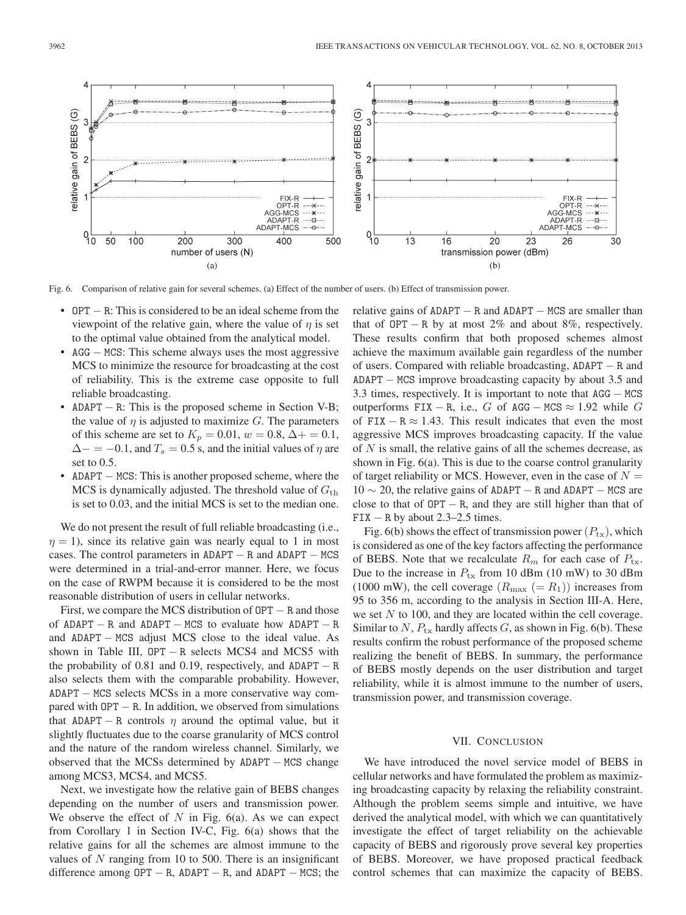

Fig. 6. Comparison of relative gain for several schemes. (a) Effect of the number of users. (b) Effect of transmission power.

- OPT − R: This is considered to be an ideal scheme from the viewpoint of the relative gain, where the value of  $\eta$  is set to the optimal value obtained from the analytical model.
- AGG − MCS: This scheme always uses the most aggressive MCS to minimize the resource for broadcasting at the cost of reliability. This is the extreme case opposite to full reliable broadcasting.
- ADAPT − R: This is the proposed scheme in Section V-B; the value of  $\eta$  is adjusted to maximize G. The parameters of this scheme are set to  $K_p = 0.01$ ,  $w = 0.8$ ,  $\Delta + = 0.1$ ,  $\Delta$  – = −0.1, and  $T_s$  = 0.5 s, and the initial values of  $\eta$  are set to 0.5.
- ADAPT − MCS: This is another proposed scheme, where the MCS is dynamically adjusted. The threshold value of  $G<sub>th</sub>$ is set to 0.03, and the initial MCS is set to the median one.

We do not present the result of full reliable broadcasting (i.e.,  $\eta = 1$ ), since its relative gain was nearly equal to 1 in most cases. The control parameters in  $ADAPT - R$  and  $ADAPT - MCS$ were determined in a trial-and-error manner. Here, we focus on the case of RWPM because it is considered to be the most reasonable distribution of users in cellular networks.

First, we compare the MCS distribution of  $OPT - R$  and those of ADAPT  $-$  R and ADAPT  $-$  MCS to evaluate how ADAPT  $-$  R and ADAPT − MCS adjust MCS close to the ideal value. As shown in Table III,  $OPT - R$  selects MCS4 and MCS5 with the probability of 0.81 and 0.19, respectively, and  $ADAPT - R$ also selects them with the comparable probability. However, ADAPT − MCS selects MCSs in a more conservative way compared with  $OPT - R$ . In addition, we observed from simulations that ADAPT – R controls  $\eta$  around the optimal value, but it slightly fluctuates due to the coarse granularity of MCS control and the nature of the random wireless channel. Similarly, we observed that the MCSs determined by ADAPT − MCS change among MCS3, MCS4, and MCS5.

Next, we investigate how the relative gain of BEBS changes depending on the number of users and transmission power. We observe the effect of  $N$  in Fig. 6(a). As we can expect from Corollary 1 in Section IV-C, Fig. 6(a) shows that the relative gains for all the schemes are almost immune to the values of  $N$  ranging from 10 to 500. There is an insignificant difference among  $OPT - R$ , ADAPT – R, and ADAPT – MCS; the relative gains of ADAPT – R and ADAPT – MCS are smaller than that of  $OPT - R$  by at most 2% and about 8%, respectively. These results confirm that both proposed schemes almost achieve the maximum available gain regardless of the number of users. Compared with reliable broadcasting, ADAPT − R and ADAPT − MCS improve broadcasting capacity by about 3.5 and 3.3 times, respectively. It is important to note that AGG − MCS outperforms FIX – R, i.e., G of AGG – MCS  $\approx$  1.92 while G of FIX – R  $\approx$  1.43. This result indicates that even the most aggressive MCS improves broadcasting capacity. If the value of  $N$  is small, the relative gains of all the schemes decrease, as shown in Fig. 6(a). This is due to the coarse control granularity of target reliability or MCS. However, even in the case of  $N =$  $10 \sim 20$ , the relative gains of ADAPT – R and ADAPT – MCS are close to that of  $OPT - R$ , and they are still higher than that of  $\text{FIX} - \text{R}$  by about 2.3–2.5 times.

Fig. 6(b) shows the effect of transmission power  $(P_{tx})$ , which is considered as one of the key factors affecting the performance of BEBS. Note that we recalculate  $R_m$  for each case of  $P_{tx}$ . Due to the increase in  $P_{\text{tx}}$  from 10 dBm (10 mW) to 30 dBm (1000 mW), the cell coverage  $(R_{\text{max}} (= R_1))$  increases from 95 to 356 m, according to the analysis in Section III-A. Here, we set  $N$  to 100, and they are located within the cell coverage. Similar to  $N$ ,  $P_{\text{tx}}$  hardly affects  $G$ , as shown in Fig. 6(b). These results confirm the robust performance of the proposed scheme realizing the benefit of BEBS. In summary, the performance of BEBS mostly depends on the user distribution and target reliability, while it is almost immune to the number of users, transmission power, and transmission coverage.

#### VII. CONCLUSION

We have introduced the novel service model of BEBS in cellular networks and have formulated the problem as maximizing broadcasting capacity by relaxing the reliability constraint. Although the problem seems simple and intuitive, we have derived the analytical model, with which we can quantitatively investigate the effect of target reliability on the achievable capacity of BEBS and rigorously prove several key properties of BEBS. Moreover, we have proposed practical feedback control schemes that can maximize the capacity of BEBS.